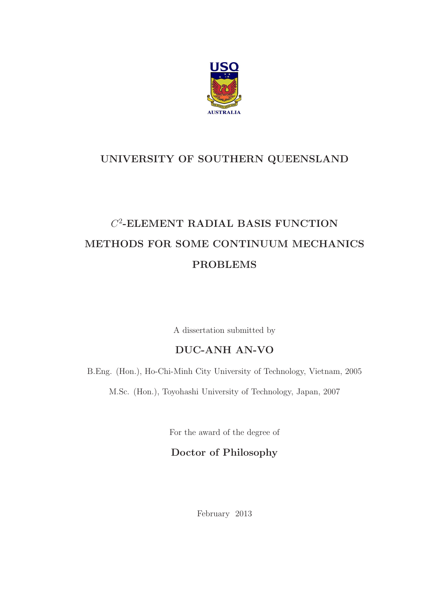

### UNIVERSITY OF SOUTHERN QUEENSLAND

### $C^2$ -ELEMENT RADIAL BASIS FUNCTION METHODS FOR SOME CONTINUUM MECHANICS PROBLEMS

A dissertation submitted by

### DUC-ANH AN-VO

B.Eng. (Hon.), Ho-Chi-Minh City University of Technology, Vietnam, 2005

M.Sc. (Hon.), Toyohashi University of Technology, Japan, 2007

For the award of the degree of

Doctor of Philosophy

February 2013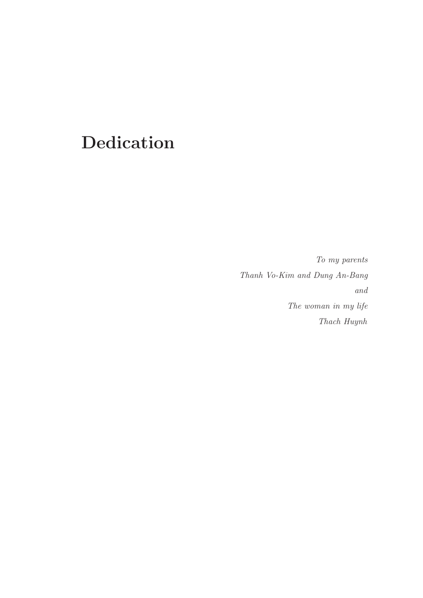## Dedication

To my parents Thanh Vo-Kim and Dung An-Bang and The woman in my life Thach Huynh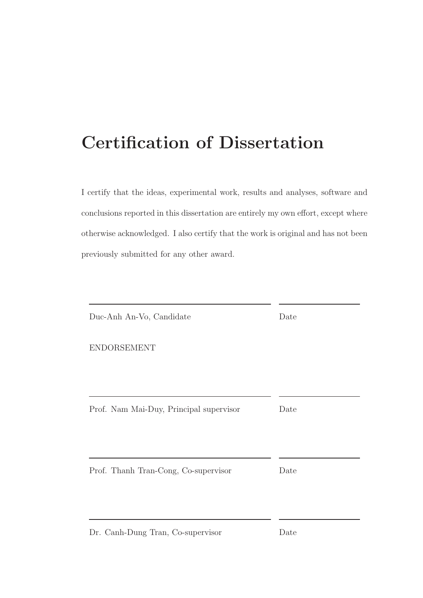## Certification of Dissertation

I certify that the ideas, experimental work, results and analyses, software and conclusions reported in this dissertation are entirely my own effort, except where otherwise acknowledged. I also certify that the work is original and has not been previously submitted for any other award.

| Duc-Anh An-Vo, Candidate                | Date |
|-----------------------------------------|------|
| <b>ENDORSEMENT</b>                      |      |
|                                         |      |
| Prof. Nam Mai-Duy, Principal supervisor | Date |
|                                         |      |
|                                         |      |
| Prof. Thanh Tran-Cong, Co-supervisor    | Date |
|                                         |      |
| Dr. Canh-Dung Tran, Co-supervisor       | Date |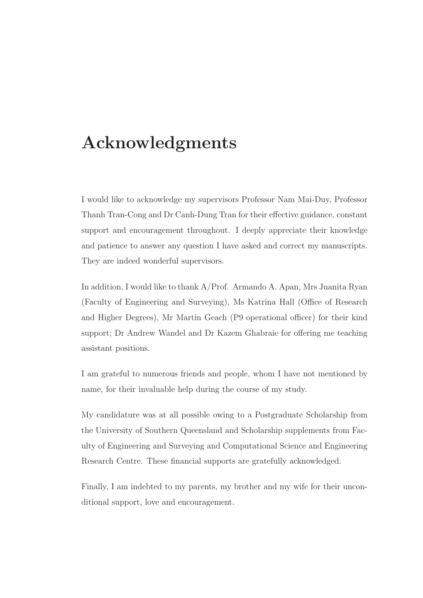### Acknowledgments

I would like to acknowledge my supervisors Professor Nam Mai-Duy, Professor Thanh Tran-Cong and Dr Canh-Dung Tran for their effective guidance, constant support and encouragement throughout. I deeply appreciate their knowledge and patience to answer any question I have asked and correct my manuscripts. They are indeed wonderful supervisors.

In addition, I would like to thank A/Prof. Armando A. Apan, Mrs Juanita Ryan (Faculty of Engineering and Surveying), Ms Katrina Hall (Office of Research and Higher Degrees), Mr Martin Geach (P9 operational officer) for their kind support; Dr Andrew Wandel and Dr Kazem Ghabraie for offering me teaching assistant positions.

I am grateful to numerous friends and people, whom I have not mentioned by name, for their invaluable help during the course of my study.

My candidature was at all possible owing to a Postgraduate Scholarship from the University of Southern Queensland and Scholarship supplements from Faculty of Engineering and Surveying and Computational Science and Engineering Research Centre. These financial supports are gratefully acknowledged.

Finally, I am indebted to my parents, my brother and my wife for their unconditional support, love and encouragement.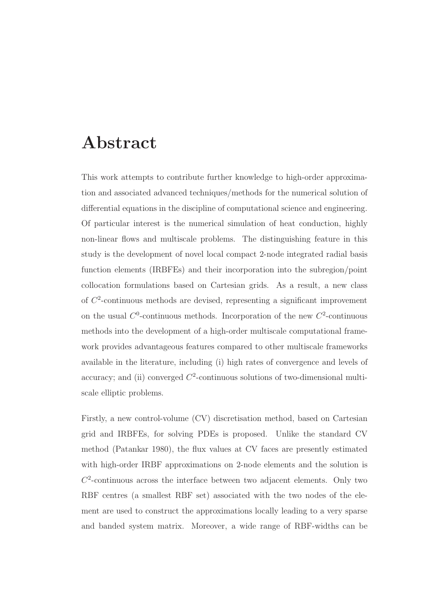### Abstract

This work attempts to contribute further knowledge to high-order approximation and associated advanced techniques/methods for the numerical solution of differential equations in the discipline of computational science and engineering. Of particular interest is the numerical simulation of heat conduction, highly non-linear flows and multiscale problems. The distinguishing feature in this study is the development of novel local compact 2-node integrated radial basis function elements (IRBFEs) and their incorporation into the subregion/point collocation formulations based on Cartesian grids. As a result, a new class of  $C<sup>2</sup>$ -continuous methods are devised, representing a significant improvement on the usual  $C^0$ -continuous methods. Incorporation of the new  $C^2$ -continuous methods into the development of a high-order multiscale computational framework provides advantageous features compared to other multiscale frameworks available in the literature, including (i) high rates of convergence and levels of accuracy; and (ii) converged  $C^2$ -continuous solutions of two-dimensional multiscale elliptic problems.

Firstly, a new control-volume (CV) discretisation method, based on Cartesian grid and IRBFEs, for solving PDEs is proposed. Unlike the standard CV method (Patankar 1980), the flux values at CV faces are presently estimated with high-order IRBF approximations on 2-node elements and the solution is  $C<sup>2</sup>$ -continuous across the interface between two adjacent elements. Only two RBF centres (a smallest RBF set) associated with the two nodes of the element are used to construct the approximations locally leading to a very sparse and banded system matrix. Moreover, a wide range of RBF-widths can be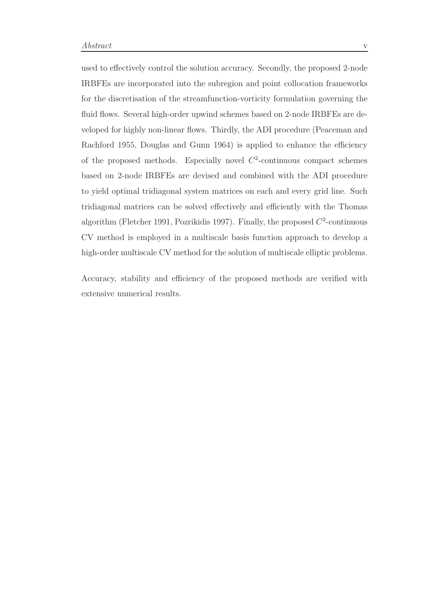used to effectively control the solution accuracy. Secondly, the proposed 2-node IRBFEs are incorporated into the subregion and point collocation frameworks for the discretisation of the streamfunction-vorticity formulation governing the fluid flows. Several high-order upwind schemes based on 2-node IRBFEs are developed for highly non-linear flows. Thirdly, the ADI procedure (Peaceman and Rachford 1955, Douglas and Gunn 1964) is applied to enhance the efficiency of the proposed methods. Especially novel  $C^2$ -continuous compact schemes based on 2-node IRBFEs are devised and combined with the ADI procedure to yield optimal tridiagonal system matrices on each and every grid line. Such tridiagonal matrices can be solved effectively and efficiently with the Thomas algorithm (Fletcher 1991, Pozrikidis 1997). Finally, the proposed  $C^2$ -continuous CV method is employed in a multiscale basis function approach to develop a high-order multiscale CV method for the solution of multiscale elliptic problems.

Accuracy, stability and efficiency of the proposed methods are verified with extensive numerical results.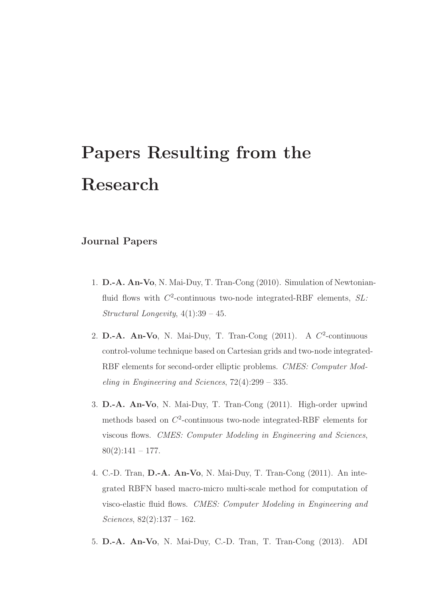# Papers Resulting from the Research

#### Journal Papers

- 1. D.-A. An-Vo, N. Mai-Duy, T. Tran-Cong (2010). Simulation of Newtonianfluid flows with  $C^2$ -continuous two-node integrated-RBF elements,  $SL:$ Structural Longevity, 4(1):39 – 45.
- 2. D.-A. An-Vo, N. Mai-Duy, T. Tran-Cong  $(2011)$ . A  $C^2$ -continuous control-volume technique based on Cartesian grids and two-node integrated-RBF elements for second-order elliptic problems. CMES: Computer Modeling in Engineering and Sciences, 72(4):299 – 335.
- 3. D.-A. An-Vo, N. Mai-Duy, T. Tran-Cong (2011). High-order upwind methods based on  $C^2$ -continuous two-node integrated-RBF elements for viscous flows. CMES: Computer Modeling in Engineering and Sciences,  $80(2):141 - 177.$
- 4. C.-D. Tran, D.-A. An-Vo, N. Mai-Duy, T. Tran-Cong (2011). An integrated RBFN based macro-micro multi-scale method for computation of visco-elastic fluid flows. CMES: Computer Modeling in Engineering and Sciences, 82(2):137 – 162.
- 5. D.-A. An-Vo, N. Mai-Duy, C.-D. Tran, T. Tran-Cong (2013). ADI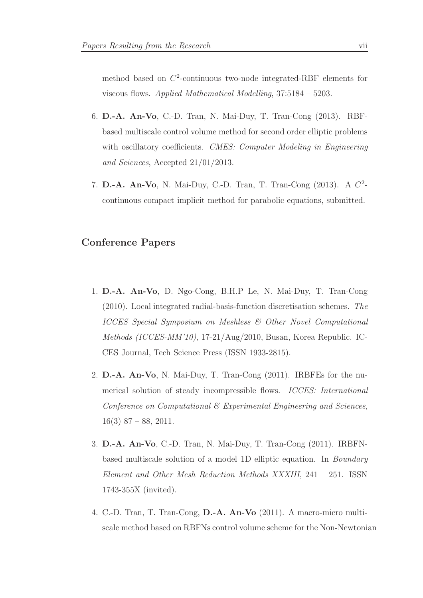method based on  $C^2$ -continuous two-node integrated-RBF elements for viscous flows. Applied Mathematical Modelling, 37:5184 – 5203.

- 6. D.-A. An-Vo, C.-D. Tran, N. Mai-Duy, T. Tran-Cong (2013). RBFbased multiscale control volume method for second order elliptic problems with oscillatory coefficients. CMES: Computer Modeling in Engineering and Sciences, Accepted 21/01/2013.
- 7. D.-A. An-Vo, N. Mai-Duy, C.-D. Tran, T. Tran-Cong  $(2013)$ . A  $C^2$ continuous compact implicit method for parabolic equations, submitted.

#### Conference Papers

- 1. D.-A. An-Vo, D. Ngo-Cong, B.H.P Le, N. Mai-Duy, T. Tran-Cong (2010). Local integrated radial-basis-function discretisation schemes. The ICCES Special Symposium on Meshless & Other Novel Computational Methods (ICCES-MM'10), 17-21/Aug/2010, Busan, Korea Republic. IC-CES Journal, Tech Science Press (ISSN 1933-2815).
- 2. D.-A. An-Vo, N. Mai-Duy, T. Tran-Cong (2011). IRBFEs for the numerical solution of steady incompressible flows. ICCES: International Conference on Computational & Experimental Engineering and Sciences,  $16(3)$  87 – 88, 2011.
- 3. D.-A. An-Vo, C.-D. Tran, N. Mai-Duy, T. Tran-Cong (2011). IRBFNbased multiscale solution of a model 1D elliptic equation. In Boundary Element and Other Mesh Reduction Methods XXXIII, 241 – 251. ISSN 1743-355X (invited).
- 4. C.-D. Tran, T. Tran-Cong, D.-A. An-Vo (2011). A macro-micro multiscale method based on RBFNs control volume scheme for the Non-Newtonian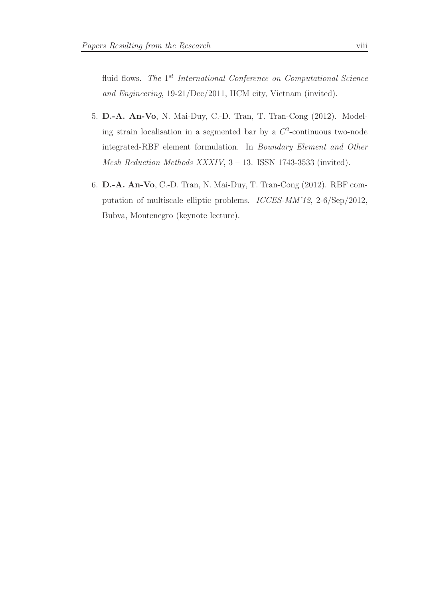fluid flows. The 1<sup>st</sup> International Conference on Computational Science and Engineering, 19-21/Dec/2011, HCM city, Vietnam (invited).

- 5. D.-A. An-Vo, N. Mai-Duy, C.-D. Tran, T. Tran-Cong (2012). Modeling strain localisation in a segmented bar by a  $C^2$ -continuous two-node integrated-RBF element formulation. In Boundary Element and Other Mesh Reduction Methods XXXIV, 3 – 13. ISSN 1743-3533 (invited).
- 6. D.-A. An-Vo, C.-D. Tran, N. Mai-Duy, T. Tran-Cong (2012). RBF computation of multiscale elliptic problems. ICCES-MM'12, 2-6/Sep/2012, Bubva, Montenegro (keynote lecture).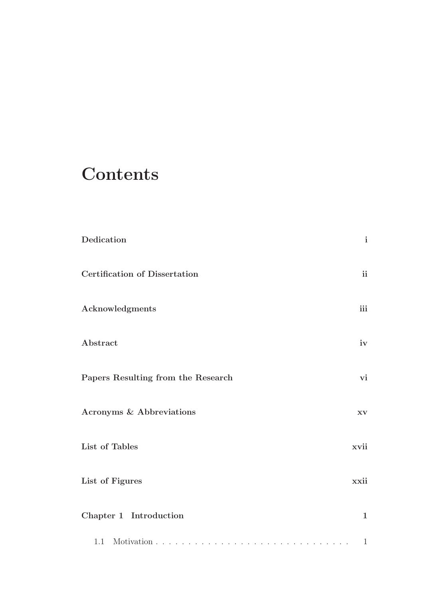## **Contents**

| Dedication                           | $\mathbf{i}$           |
|--------------------------------------|------------------------|
| <b>Certification of Dissertation</b> | $\mathbf{ii}$          |
| Acknowledgments                      | iii                    |
| Abstract                             | iv                     |
| Papers Resulting from the Research   | vi                     |
| <b>Acronyms &amp; Abbreviations</b>  | $\mathbf{X}\mathbf{V}$ |
| List of Tables                       | xvii                   |
| List of Figures                      | xxii                   |
| Chapter 1 Introduction               | $\mathbf{1}$           |
|                                      | $\mathbf{1}$           |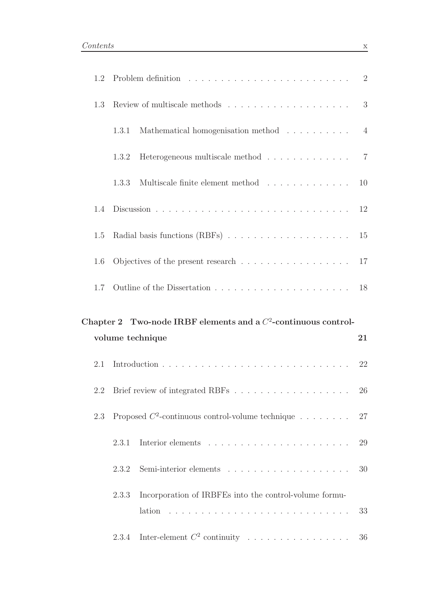| 1.2 |                                                                           | 2              |
|-----|---------------------------------------------------------------------------|----------------|
| 1.3 | Review of multiscale methods $\dots \dots \dots \dots \dots \dots \dots$  | 3              |
|     | Mathematical homogenisation method<br>1.3.1                               | $\overline{4}$ |
|     | Heterogeneous multiscale method $\ldots \ldots \ldots \ldots$<br>1.3.2    | $\overline{7}$ |
|     | Multiscale finite element method<br>1.3.3                                 | 10             |
| 1.4 |                                                                           | 12             |
| 1.5 |                                                                           |                |
| 1.6 | Objectives of the present research $\dots \dots \dots \dots \dots \dots$  | 17             |
| 1.7 |                                                                           |                |
|     |                                                                           |                |
|     | Chapter 2 Two-node IRBF elements and a $C^2$ -continuous control-         |                |
|     | volume technique                                                          | 21             |
| 2.1 |                                                                           | 22             |
|     |                                                                           | 26             |
| 2.3 | Proposed $C^2$ -continuous control-volume technique                       | 27             |
|     | 2.3.1                                                                     | 29             |
|     | 2.3.2                                                                     | 30             |
|     | Incorporation of IRBFEs into the control-volume formu-<br>2.3.3<br>lation | 33             |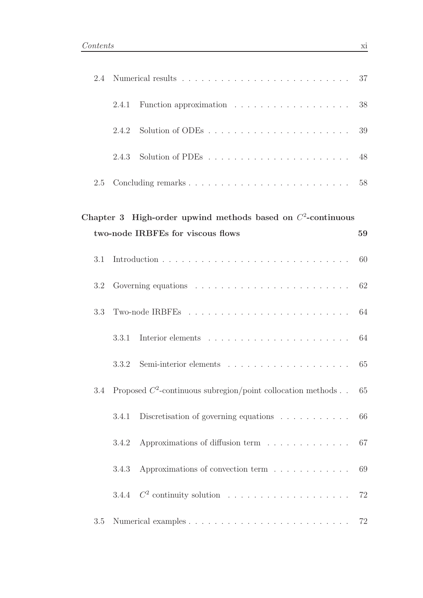| 2.4 |       |                                                                                                     | 37 |
|-----|-------|-----------------------------------------------------------------------------------------------------|----|
|     | 2.4.1 | Function approximation $\ldots \ldots \ldots \ldots \ldots \ldots \ldots$ 38                        |    |
|     | 2.4.2 |                                                                                                     | 39 |
|     | 2.4.3 |                                                                                                     |    |
| 2.5 |       |                                                                                                     |    |
|     |       | Chapter 3 High-order upwind methods based on $C^2$ -continuous<br>two-node IRBFEs for viscous flows | 59 |
| 3.1 |       |                                                                                                     | 60 |
| 3.2 |       |                                                                                                     | 62 |
| 3.3 |       |                                                                                                     | 64 |
|     | 3.3.1 |                                                                                                     | 64 |
|     | 3.3.2 |                                                                                                     | 65 |
| 3.4 |       | Proposed $C^2$ -continuous subregion/point collocation methods 65                                   |    |
|     | 3.4.1 | Discretisation of governing equations $\ldots \ldots \ldots$                                        | 66 |
|     | 3.4.2 | Approximations of diffusion term $\ldots \ldots \ldots \ldots$                                      | 67 |
|     | 3.4.3 | Approximations of convection term $\ldots \ldots \ldots \ldots$                                     | 69 |
|     |       | 3.4.4 $C^2$ continuity solution                                                                     | 72 |
| 3.5 |       |                                                                                                     |    |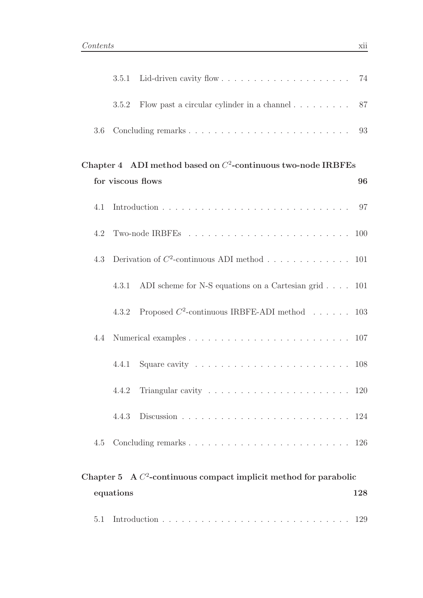|     | 3.5.2             | Flow past a circular cylinder in a channel $\ldots \ldots \ldots$ 87 |    |
|-----|-------------------|----------------------------------------------------------------------|----|
| 3.6 |                   |                                                                      |    |
|     | for viscous flows | Chapter 4 ADI method based on $C^2$ -continuous two-node IRBFEs      | 96 |
| 4.1 |                   |                                                                      |    |
| 4.2 |                   |                                                                      |    |
| 4.3 |                   | Derivation of $C^2$ -continuous ADI method 101                       |    |
|     | 4.3.1             | ADI scheme for N-S equations on a Cartesian grid $\ldots$ 101        |    |
|     | 4.3.2             | Proposed $C^2$ -continuous IRBFE-ADI method 103                      |    |
| 4.4 |                   |                                                                      |    |
|     | 4.4.1             |                                                                      |    |
|     |                   |                                                                      |    |
|     | 4.4.3             |                                                                      |    |
| 4.5 |                   |                                                                      |    |
|     |                   |                                                                      |    |

### Chapter 5 A  $C^2$ -continuous compact implicit method for parabolic equations 128 5.1 Introduction . . . . . . . . . . . . . . . . . . . . . . . . . . . . . 129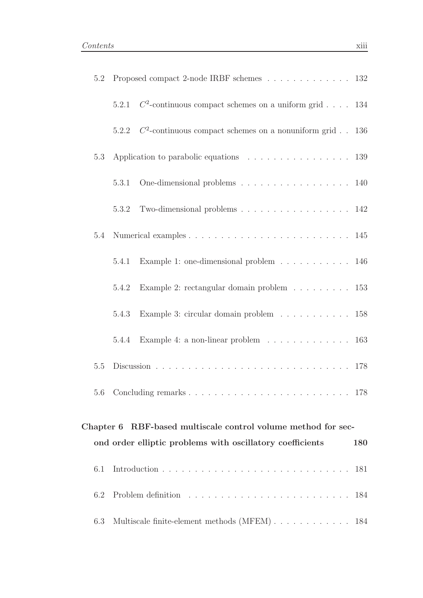| 5.2       |       | Proposed compact 2-node IRBF schemes 132                                 |            |
|-----------|-------|--------------------------------------------------------------------------|------------|
|           |       | 5.2.1 $C^2$ -continuous compact schemes on a uniform grid 134            |            |
|           |       | 5.2.2 $C^2$ -continuous compact schemes on a nonuniform grid 136         |            |
| 5.3       |       | Application to parabolic equations 139                                   |            |
|           | 5.3.1 | One-dimensional problems 140                                             |            |
|           | 5.3.2 | Two-dimensional problems 142                                             |            |
| 5.4       |       |                                                                          |            |
|           | 5.4.1 | Example 1: one-dimensional problem $\ldots \ldots \ldots \ldots 146$     |            |
|           | 5.4.2 | Example 2: rectangular domain problem $\ldots \ldots \ldots 153$         |            |
|           | 5.4.3 | Example 3: circular domain problem 158                                   |            |
|           | 5.4.4 | Example 4: a non-linear problem $\ldots \ldots \ldots \ldots \ldots 163$ |            |
| 5.5       |       |                                                                          |            |
|           |       |                                                                          |            |
| Chapter 6 |       | RBF-based multiscale control volume method for sec-                      |            |
|           |       | ond order elliptic problems with oscillatory coefficients                | <b>180</b> |
| 6.1       |       |                                                                          | 181        |
| 6.2       |       |                                                                          | 184        |
| 6.3       |       | Multiscale finite-element methods (MFEM) 184                             |            |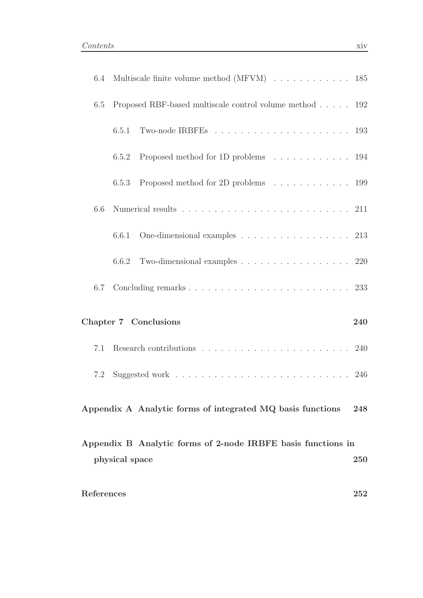| 6.4        | Multiscale finite volume method (MFVM) $\ldots \ldots \ldots \ldots \ldots$ 185      |            |
|------------|--------------------------------------------------------------------------------------|------------|
| 6.5        | Proposed RBF-based multiscale control volume method 192                              |            |
|            | 6.5.1                                                                                |            |
|            | Proposed method for 1D problems 194<br>6.5.2                                         |            |
|            | Proposed method for 2D problems 199<br>6.5.3                                         |            |
| 6.6        |                                                                                      |            |
|            | One-dimensional examples $\ldots \ldots \ldots \ldots \ldots \ldots 213$<br>6.6.1    |            |
|            | Two-dimensional examples $\ldots \ldots \ldots \ldots \ldots \ldots 220$<br>6.6.2    |            |
| 6.7        |                                                                                      |            |
|            | Chapter 7 Conclusions                                                                | 240        |
| 7.1        | Research contributions $\ldots \ldots \ldots \ldots \ldots \ldots \ldots \ldots 240$ |            |
| 7.2        |                                                                                      |            |
|            | Appendix A Analytic forms of integrated MQ basis functions                           | 248        |
|            | Appendix B Analytic forms of 2-node IRBFE basis functions in                         |            |
|            | physical space                                                                       | <b>250</b> |
| References |                                                                                      | 252        |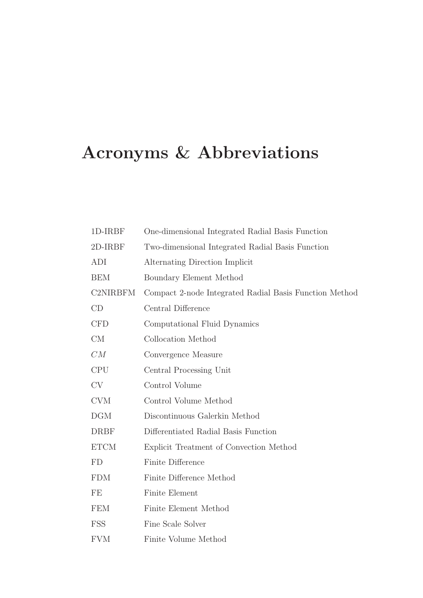# Acronyms & Abbreviations

| 1D-IRBF         | One-dimensional Integrated Radial Basis Function       |
|-----------------|--------------------------------------------------------|
| 2D-IRBF         | Two-dimensional Integrated Radial Basis Function       |
| ADI             | Alternating Direction Implicit                         |
| <b>BEM</b>      | Boundary Element Method                                |
| <b>C2NIRBFM</b> | Compact 2-node Integrated Radial Basis Function Method |
| CD              | Central Difference                                     |
| <b>CFD</b>      | Computational Fluid Dynamics                           |
| <b>CM</b>       | Collocation Method                                     |
| CM              | Convergence Measure                                    |
| <b>CPU</b>      | Central Processing Unit                                |
| <b>CV</b>       | Control Volume                                         |
| <b>CVM</b>      | Control Volume Method                                  |
| DGM             | Discontinuous Galerkin Method                          |
| <b>DRBF</b>     | Differentiated Radial Basis Function                   |
| <b>ETCM</b>     | Explicit Treatment of Convection Method                |
| <b>FD</b>       | Finite Difference                                      |
| <b>FDM</b>      | Finite Difference Method                               |
| FE              | Finite Element                                         |
| <b>FEM</b>      | Finite Element Method                                  |
| FSS             | Fine Scale Solver                                      |
| <b>FVM</b>      | Finite Volume Method                                   |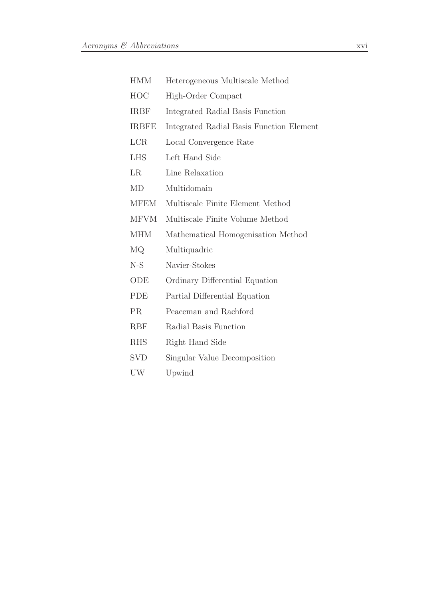| <b>HMM</b>   | Heterogeneous Multiscale Method          |
|--------------|------------------------------------------|
| HOC          | High-Order Compact                       |
| <b>IRBF</b>  | Integrated Radial Basis Function         |
| <b>IRBFE</b> | Integrated Radial Basis Function Element |
| <b>LCR</b>   | Local Convergence Rate                   |
| <b>LHS</b>   | Left Hand Side                           |
| LR           | Line Relaxation                          |
| MD           | Multidomain                              |
| <b>MFEM</b>  | Multiscale Finite Element Method         |
| <b>MFVM</b>  | Multiscale Finite Volume Method          |
| <b>MHM</b>   | Mathematical Homogenisation Method       |
| MQ           | Multiquadric                             |
| N-S          | Navier-Stokes                            |
| ODE          | Ordinary Differential Equation           |
| <b>PDE</b>   | Partial Differential Equation            |
| <b>PR</b>    | Peaceman and Rachford                    |
| <b>RBF</b>   | Radial Basis Function                    |
| <b>RHS</b>   | Right Hand Side                          |
| SVD          | Singular Value Decomposition             |
| UW           | Upwind                                   |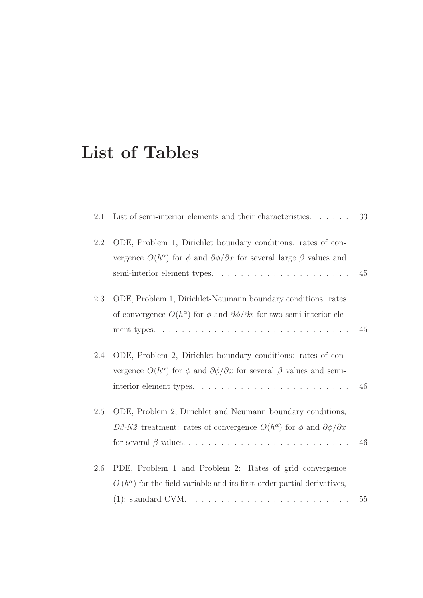## List of Tables

| 2.1 | List of semi-interior elements and their characteristics. $\ldots$ .                                                                                                      | 33 |
|-----|---------------------------------------------------------------------------------------------------------------------------------------------------------------------------|----|
| 2.2 | ODE, Problem 1, Dirichlet boundary conditions: rates of con-<br>vergence $O(h^{\alpha})$ for $\phi$ and $\partial \phi / \partial x$ for several large $\beta$ values and | 45 |
| 2.3 | ODE, Problem 1, Dirichlet-Neumann boundary conditions: rates<br>of convergence $O(h^{\alpha})$ for $\phi$ and $\partial \phi / \partial x$ for two semi-interior ele-     | 45 |
| 2.4 | ODE, Problem 2, Dirichlet boundary conditions: rates of con-<br>vergence $O(h^{\alpha})$ for $\phi$ and $\partial \phi / \partial x$ for several $\beta$ values and semi- | 46 |
| 2.5 | ODE, Problem 2, Dirichlet and Neumann boundary conditions,<br>D3-N2 treatment: rates of convergence $O(h^{\alpha})$ for $\phi$ and $\partial \phi / \partial x$           | 46 |
| 2.6 | PDE, Problem 1 and Problem 2: Rates of grid convergence<br>$O(h^{\alpha})$ for the field variable and its first-order partial derivatives,                                | 55 |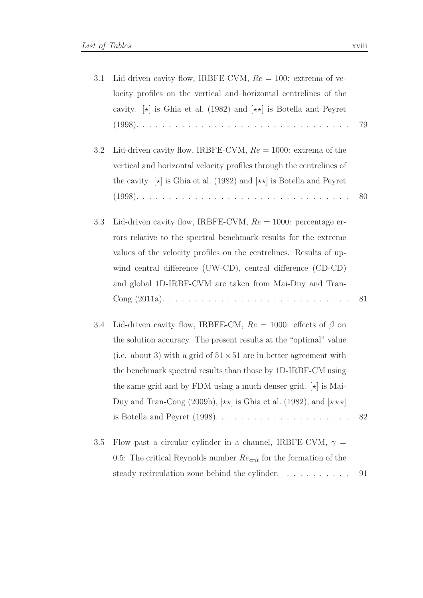| 3.1 | Lid-driven cavity flow, IRBFE-CVM, $Re = 100$ : extrema of ve-                                             |    |
|-----|------------------------------------------------------------------------------------------------------------|----|
|     | locity profiles on the vertical and horizontal centrelines of the                                          |    |
|     | cavity. $\left[\star\right]$ is Ghia et al. (1982) and $\left[\star\star\right]$ is Botella and Peyret     |    |
|     |                                                                                                            | 79 |
| 3.2 | Lid-driven cavity flow, IRBFE-CVM, $Re = 1000$ : extrema of the                                            |    |
|     | vertical and horizontal velocity profiles through the centrelines of                                       |    |
|     | the cavity. $\left[\star\right]$ is Ghia et al. (1982) and $\left[\star\star\right]$ is Botella and Peyret |    |
|     |                                                                                                            | 80 |
| 3.3 | Lid-driven cavity flow, IRBFE-CVM, $Re = 1000$ : percentage er-                                            |    |
|     | rors relative to the spectral benchmark results for the extreme                                            |    |
|     | values of the velocity profiles on the centrelines. Results of up-                                         |    |
|     | wind central difference (UW-CD), central difference (CD-CD)                                                |    |
|     | and global 1D-IRBF-CVM are taken from Mai-Duy and Tran-                                                    |    |
|     |                                                                                                            | 81 |
| 3.4 | Lid-driven cavity flow, IRBFE-CM, $Re = 1000$ : effects of $\beta$ on                                      |    |
|     | the solution accuracy. The present results at the "optimal" value                                          |    |
|     | (i.e. about 3) with a grid of $51 \times 51$ are in better agreement with                                  |    |
|     | the benchmark spectral results than those by 1D-IRBF-CM using                                              |    |
|     | the same grid and by FDM using a much denser grid. $\left[\star\right]$ is Mai-                            |    |
|     | Duy and Tran-Cong (2009b), $[\star \star]$ is Ghia et al. (1982), and $[\star \star \star]$                |    |
|     |                                                                                                            | 82 |
| 3.5 | Flow past a circular cylinder in a channel, IRBFE-CVM, $\gamma$ =                                          |    |
|     | 0.5: The critical Reynolds number $Re_{crit}$ for the formation of the                                     |    |
|     | steady recirculation zone behind the cylinder.                                                             | 91 |
|     |                                                                                                            |    |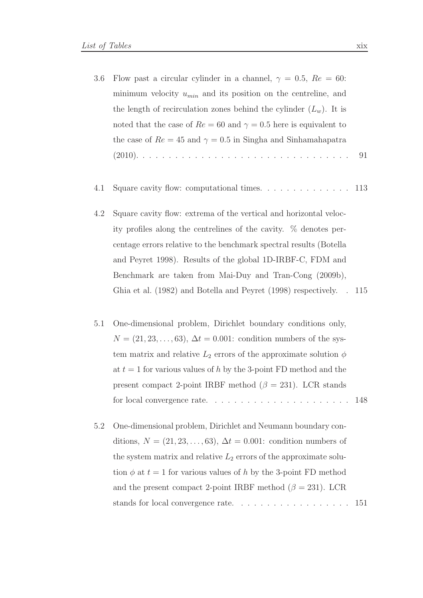- 3.6 Flow past a circular cylinder in a channel,  $\gamma = 0.5$ ,  $Re = 60$ : minimum velocity  $u_{min}$  and its position on the centreline, and the length of recirculation zones behind the cylinder  $(L_w)$ . It is noted that the case of  $Re = 60$  and  $\gamma = 0.5$  here is equivalent to the case of  $Re = 45$  and  $\gamma = 0.5$  in Singha and Sinhamahapatra (2010). . . . . . . . . . . . . . . . . . . . . . . . . . . . . . . . . 91
- 4.1 Square cavity flow: computational times. . . . . . . . . . . . . . 113
- 4.2 Square cavity flow: extrema of the vertical and horizontal velocity profiles along the centrelines of the cavity. % denotes percentage errors relative to the benchmark spectral results (Botella and Peyret 1998). Results of the global 1D-IRBF-C, FDM and Benchmark are taken from Mai-Duy and Tran-Cong (2009b), Ghia et al. (1982) and Botella and Peyret (1998) respectively. . 115
- 5.1 One-dimensional problem, Dirichlet boundary conditions only,  $N = (21, 23, \ldots, 63), \Delta t = 0.001$ : condition numbers of the system matrix and relative  $L_2$  errors of the approximate solution  $\phi$ at  $t = 1$  for various values of h by the 3-point FD method and the present compact 2-point IRBF method ( $\beta = 231$ ). LCR stands for local convergence rate. . . . . . . . . . . . . . . . . . . . . . 148
- 5.2 One-dimensional problem, Dirichlet and Neumann boundary conditions,  $N = (21, 23, \ldots, 63), \Delta t = 0.001$ : condition numbers of the system matrix and relative  $L_2$  errors of the approximate solution  $\phi$  at  $t = 1$  for various values of h by the 3-point FD method and the present compact 2-point IRBF method ( $\beta = 231$ ). LCR stands for local convergence rate. . . . . . . . . . . . . . . . . . 151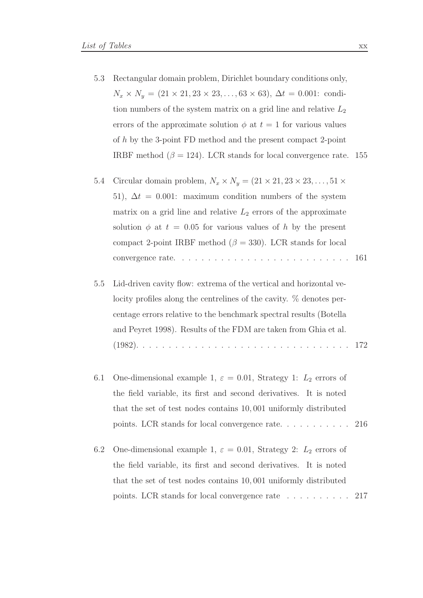- 5.3 Rectangular domain problem, Dirichlet boundary conditions only,  $N_x \times N_y = (21 \times 21, 23 \times 23, \dots, 63 \times 63), \Delta t = 0.001$ : condition numbers of the system matrix on a grid line and relative  $L_2$ errors of the approximate solution  $\phi$  at  $t = 1$  for various values of h by the 3-point FD method and the present compact 2-point IRBF method ( $\beta = 124$ ). LCR stands for local convergence rate. 155
- 5.4 Circular domain problem,  $N_x \times N_y = (21 \times 21, 23 \times 23, \ldots, 51 \times$ 51),  $\Delta t = 0.001$ : maximum condition numbers of the system matrix on a grid line and relative  $L_2$  errors of the approximate solution  $\phi$  at  $t = 0.05$  for various values of h by the present compact 2-point IRBF method ( $\beta = 330$ ). LCR stands for local convergence rate. . . . . . . . . . . . . . . . . . . . . . . . . . . 161
- 5.5 Lid-driven cavity flow: extrema of the vertical and horizontal velocity profiles along the centrelines of the cavity. % denotes percentage errors relative to the benchmark spectral results (Botella and Peyret 1998). Results of the FDM are taken from Ghia et al. (1982). . . . . . . . . . . . . . . . . . . . . . . . . . . . . . . . . 172
- 6.1 One-dimensional example 1,  $\varepsilon = 0.01$ , Strategy 1:  $L_2$  errors of the field variable, its first and second derivatives. It is noted that the set of test nodes contains 10, 001 uniformly distributed points. LCR stands for local convergence rate. . . . . . . . . . . 216
- 6.2 One-dimensional example 1,  $\varepsilon = 0.01$ , Strategy 2:  $L_2$  errors of the field variable, its first and second derivatives. It is noted that the set of test nodes contains 10, 001 uniformly distributed points. LCR stands for local convergence rate . . . . . . . . . . 217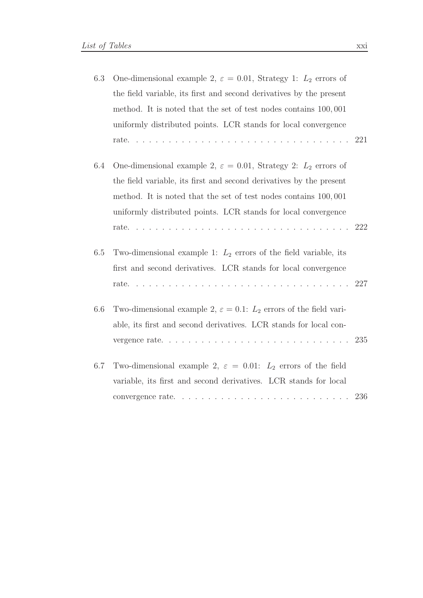|     | One-dimensional example 2, $\varepsilon = 0.01$ , Strategy 1: $L_2$ errors of    | 6.3 |
|-----|----------------------------------------------------------------------------------|-----|
|     | the field variable, its first and second derivatives by the present              |     |
|     | method. It is noted that the set of test nodes contains 100,001                  |     |
|     | uniformly distributed points. LCR stands for local convergence                   |     |
|     |                                                                                  |     |
|     | One-dimensional example 2, $\varepsilon = 0.01$ , Strategy 2: $L_2$ errors of    | 6.4 |
|     | the field variable, its first and second derivatives by the present              |     |
|     | method. It is noted that the set of test nodes contains 100,001                  |     |
|     | uniformly distributed points. LCR stands for local convergence                   |     |
|     |                                                                                  |     |
|     | Two-dimensional example 1: $L_2$ errors of the field variable, its               | 6.5 |
|     | first and second derivatives. LCR stands for local convergence                   |     |
|     |                                                                                  |     |
|     | Two-dimensional example 2, $\varepsilon = 0.1$ : $L_2$ errors of the field vari- | 6.6 |
|     | able, its first and second derivatives. LCR stands for local con-                |     |
|     |                                                                                  |     |
|     | Two-dimensional example 2, $\varepsilon = 0.01$ : $L_2$ errors of the field      | 6.7 |
|     | variable, its first and second derivatives. LCR stands for local                 |     |
| 236 |                                                                                  |     |
|     |                                                                                  |     |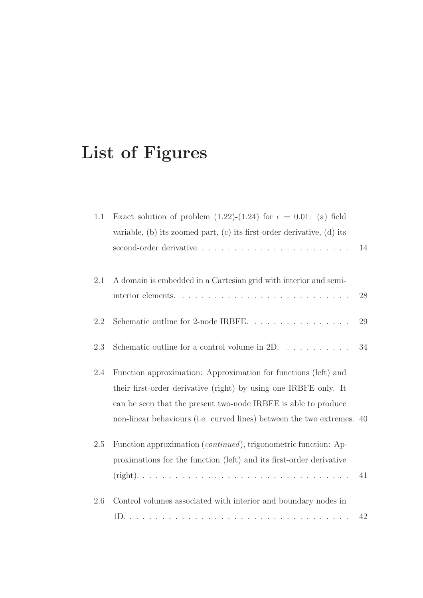# List of Figures

| 1.1     | Exact solution of problem (1.22)-(1.24) for $\epsilon = 0.01$ : (a) field<br>variable, (b) its zoomed part, (c) its first-order derivative, (d) its<br>second-order derivative                                                                                                 | 14 |
|---------|--------------------------------------------------------------------------------------------------------------------------------------------------------------------------------------------------------------------------------------------------------------------------------|----|
| 2.1     | A domain is embedded in a Cartesian grid with interior and semi-                                                                                                                                                                                                               | 28 |
| 2.2     | Schematic outline for 2-node IRBFE                                                                                                                                                                                                                                             | 29 |
| 2.3     | Schematic outline for a control volume in $2D. \ldots \ldots \ldots$                                                                                                                                                                                                           | 34 |
| 2.4     | Function approximation: Approximation for functions (left) and<br>their first-order derivative (right) by using one IRBFE only. It<br>can be seen that the present two-node IRBFE is able to produce<br>non-linear behaviours (i.e. curved lines) between the two extremes. 40 |    |
| 2.5     | Function approximation ( <i>continued</i> ), trigonometric function: Ap-<br>proximations for the function (left) and its first-order derivative                                                                                                                                | 41 |
| $2.6\,$ | Control volumes associated with interior and boundary nodes in                                                                                                                                                                                                                 | 42 |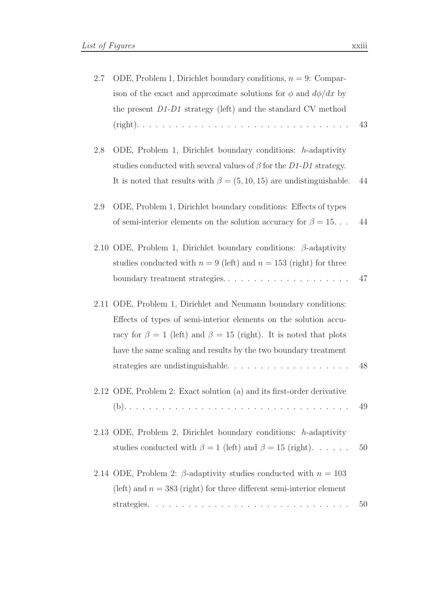| 2.7 | ODE, Problem 1, Dirichlet boundary conditions, $n = 9$ : Compar-<br>ison of the exact and approximate solutions for $\phi$ and $d\phi/dx$ by                                                                                                                                                                               |    |
|-----|----------------------------------------------------------------------------------------------------------------------------------------------------------------------------------------------------------------------------------------------------------------------------------------------------------------------------|----|
|     | the present $D1-D1$ strategy (left) and the standard CV method                                                                                                                                                                                                                                                             | 43 |
| 2.8 | ODE, Problem 1, Dirichlet boundary conditions: $h$ -adaptivity<br>studies conducted with several values of $\beta$ for the D1-D1 strategy.<br>It is noted that results with $\beta = (5, 10, 15)$ are undistinguishable.                                                                                                   | 44 |
| 2.9 | ODE, Problem 1, Dirichlet boundary conditions: Effects of types<br>of semi-interior elements on the solution accuracy for $\beta = 15$                                                                                                                                                                                     | 44 |
|     | 2.10 ODE, Problem 1, Dirichlet boundary conditions: $\beta$ -adaptivity<br>studies conducted with $n = 9$ (left) and $n = 153$ (right) for three                                                                                                                                                                           | 47 |
|     | 2.11 ODE, Problem 1, Dirichlet and Neumann boundary conditions:<br>Effects of types of semi-interior elements on the solution accu-<br>racy for $\beta = 1$ (left) and $\beta = 15$ (right). It is noted that plots<br>have the same scaling and results by the two boundary treatment<br>strategies are undistinguishable | 48 |
|     | 2.12 ODE, Problem 2: Exact solution (a) and its first-order derivative                                                                                                                                                                                                                                                     | 49 |
|     | 2.13 ODE, Problem 2, Dirichlet boundary conditions: h-adaptivity<br>studies conducted with $\beta = 1$ (left) and $\beta = 15$ (right).                                                                                                                                                                                    | 50 |
|     | 2.14 ODE, Problem 2: $\beta$ -adaptivity studies conducted with $n = 103$<br>(left) and $n = 383$ (right) for three different semi-interior element                                                                                                                                                                        | 50 |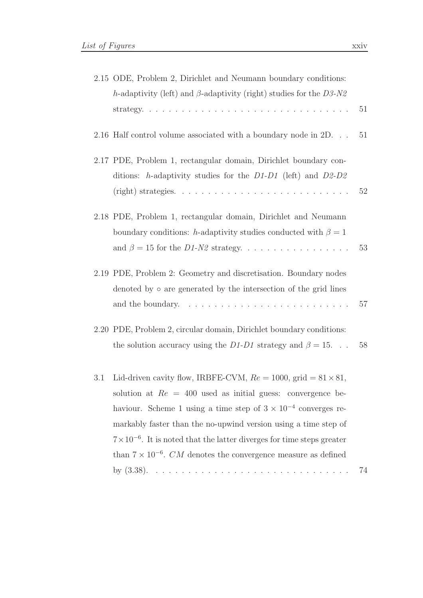| 2.15 ODE, Problem 2, Dirichlet and Neumann boundary conditions:             |  |
|-----------------------------------------------------------------------------|--|
| h-adaptivity (left) and $\beta$ -adaptivity (right) studies for the $D3-N2$ |  |
|                                                                             |  |
| 2.16 Half control volume associated with a boundary node in 2D 51           |  |
| 2.17 PDE, Problem 1, rectangular domain, Dirichlet boundary con-            |  |
| ditions: h-adaptivity studies for the $D1-D1$ (left) and $D2-D2$            |  |
|                                                                             |  |
| 2.18 PDE, Problem 1, rectangular domain, Dirichlet and Neumann              |  |
| boundary conditions: h-adaptivity studies conducted with $\beta = 1$        |  |
| and $\beta = 15$ for the <i>D1-N2</i> strategy. 53                          |  |
| 2.19 PDE, Problem 2: Geometry and discretisation. Boundary nodes            |  |
| donoted by a are concreted by the intersection of the grid lines            |  |

| 2.19 PDE, Problem 2: Geometry and discretisation. Boundary nodes                         |  |
|------------------------------------------------------------------------------------------|--|
| denoted by $\circ$ are generated by the intersection of the grid lines                   |  |
| and the boundary. $\dots \dots \dots \dots \dots \dots \dots \dots \dots \dots \dots 57$ |  |

- 2.20 PDE, Problem 2, circular domain, Dirichlet boundary conditions: the solution accuracy using the D1-D1 strategy and  $\beta = 15$ . . . 58
- 3.1 Lid-driven cavity flow, IRBFE-CVM,  $Re = 1000$ , grid =  $81 \times 81$ , solution at  $Re = 400$  used as initial guess: convergence behaviour. Scheme 1 using a time step of  $3 \times 10^{-4}$  converges remarkably faster than the no-upwind version using a time step of  $7 \times 10^{-6}$ . It is noted that the latter diverges for time steps greater than  $7 \times 10^{-6}$ . *CM* denotes the convergence measure as defined by (3.38). . . . . . . . . . . . . . . . . . . . . . . . . . . . . . . 74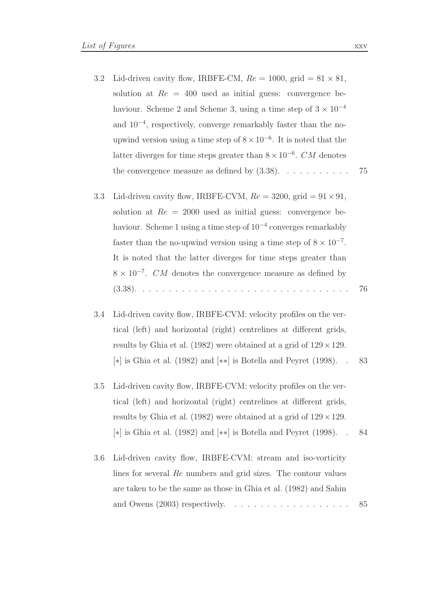- 3.2 Lid-driven cavity flow, IRBFE-CM,  $Re = 1000$ , grid  $= 81 \times 81$ , solution at  $Re = 400$  used as initial guess: convergence behaviour. Scheme 2 and Scheme 3, using a time step of  $3 \times 10^{-4}$ and 10−<sup>4</sup> , respectively, converge remarkably faster than the noupwind version using a time step of  $8 \times 10^{-6}$ . It is noted that the latter diverges for time steps greater than  $8 \times 10^{-6}$ . CM denotes the convergence measure as defined by  $(3.38)$ . . . . . . . . . . . . 75
- 3.3 Lid-driven cavity flow, IRBFE-CVM,  $Re = 3200$ , grid  $= 91 \times 91$ , solution at  $Re = 2000$  used as initial guess: convergence behaviour. Scheme 1 using a time step of 10−<sup>4</sup> converges remarkably faster than the no-upwind version using a time step of  $8 \times 10^{-7}$ . It is noted that the latter diverges for time steps greater than  $8 \times 10^{-7}$ . *CM* denotes the convergence measure as defined by (3.38). . . . . . . . . . . . . . . . . . . . . . . . . . . . . . . . . 76
- 3.4 Lid-driven cavity flow, IRBFE-CVM: velocity profiles on the vertical (left) and horizontal (right) centrelines at different grids, results by Ghia et al. (1982) were obtained at a grid of  $129 \times 129$ . [∗] is Ghia et al. (1982) and [∗∗] is Botella and Peyret (1998). . 83
- 3.5 Lid-driven cavity flow, IRBFE-CVM: velocity profiles on the vertical (left) and horizontal (right) centrelines at different grids, results by Ghia et al. (1982) were obtained at a grid of  $129 \times 129$ . [∗] is Ghia et al. (1982) and [∗∗] is Botella and Peyret (1998). . 84
- 3.6 Lid-driven cavity flow, IRBFE-CVM: stream and iso-vorticity lines for several Re numbers and grid sizes. The contour values are taken to be the same as those in Ghia et al. (1982) and Sahin and Owens (2003) respectively. . . . . . . . . . . . . . . . . . . 85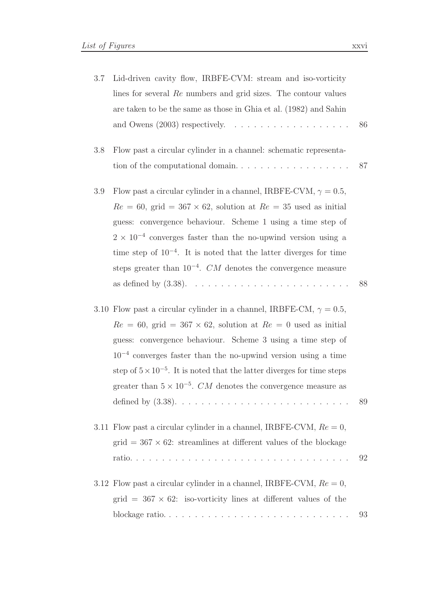| 3.7 | Lid-driven cavity flow, IRBFE-CVM: stream and iso-vorticity<br>lines for several Re numbers and grid sizes. The contour values<br>are taken to be the same as those in Ghia et al. (1982) and Sahin                                                                                                                                                                                                                                                  | 86 |
|-----|------------------------------------------------------------------------------------------------------------------------------------------------------------------------------------------------------------------------------------------------------------------------------------------------------------------------------------------------------------------------------------------------------------------------------------------------------|----|
| 3.8 | Flow past a circular cylinder in a channel: schematic representa-<br>tion of the computational domain                                                                                                                                                                                                                                                                                                                                                | 87 |
| 3.9 | Flow past a circular cylinder in a channel, IRBFE-CVM, $\gamma = 0.5$ ,<br>$Re = 60$ , grid = 367 × 62, solution at $Re = 35$ used as initial<br>guess: convergence behaviour. Scheme 1 using a time step of<br>$2 \times 10^{-4}$ converges faster than the no-upwind version using a<br>time step of $10^{-4}$ . It is noted that the latter diverges for time<br>steps greater than $10^{-4}$ . CM denotes the convergence measure                | 88 |
|     | 3.10 Flow past a circular cylinder in a channel, IRBFE-CM, $\gamma = 0.5$ ,<br>$Re = 60$ , grid = 367 × 62, solution at $Re = 0$ used as initial<br>guess: convergence behaviour. Scheme 3 using a time step of<br>$10^{-4}$ converges faster than the no-upwind version using a time<br>step of $5 \times 10^{-5}$ . It is noted that the latter diverges for time steps<br>greater than $5 \times 10^{-5}$ . CM denotes the convergence measure as | 89 |
|     | 3.11 Flow past a circular cylinder in a channel, IRBFE-CVM, $Re = 0$ ,<br>$grid = 367 \times 62$ : streamlines at different values of the blockage                                                                                                                                                                                                                                                                                                   | 92 |
|     | 3.12 Flow past a circular cylinder in a channel, IRBFE-CVM, $Re = 0$ ,<br>grid = $367 \times 62$ : iso-vorticity lines at different values of the                                                                                                                                                                                                                                                                                                    | 93 |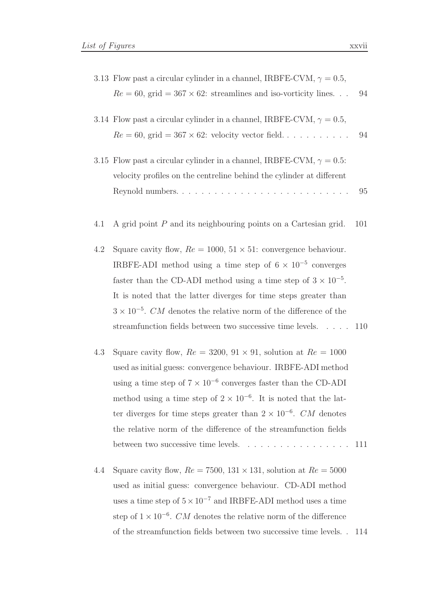- 3.13 Flow past a circular cylinder in a channel, IRBFE-CVM,  $\gamma = 0.5$ ,  $Re = 60$ , grid = 367 × 62: streamlines and iso-vorticity lines. . . 94
- 3.14 Flow past a circular cylinder in a channel, IRBFE-CVM,  $\gamma = 0.5$ ,  $Re = 60$ , grid =  $367 \times 62$ : velocity vector field. . . . . . . . . . . 94
- 3.15 Flow past a circular cylinder in a channel, IRBFE-CVM,  $\gamma = 0.5$ : velocity profiles on the centreline behind the cylinder at different Reynold numbers. . . . . . . . . . . . . . . . . . . . . . . . . . . 95
- 4.1 A grid point P and its neighbouring points on a Cartesian grid. 101
- 4.2 Square cavity flow,  $Re = 1000, 51 \times 51$ : convergence behaviour. IRBFE-ADI method using a time step of  $6 \times 10^{-5}$  converges faster than the CD-ADI method using a time step of  $3 \times 10^{-5}$ . It is noted that the latter diverges for time steps greater than  $3 \times 10^{-5}$ . CM denotes the relative norm of the difference of the streamfunction fields between two successive time levels. . . . . 110
- 4.3 Square cavity flow,  $Re = 3200, 91 \times 91$ , solution at  $Re = 1000$ used as initial guess: convergence behaviour. IRBFE-ADI method using a time step of  $7 \times 10^{-6}$  converges faster than the CD-ADI method using a time step of  $2 \times 10^{-6}$ . It is noted that the latter diverges for time steps greater than  $2 \times 10^{-6}$ . CM denotes the relative norm of the difference of the streamfunction fields between two successive time levels. . . . . . . . . . . . . . . . . 111
- 4.4 Square cavity flow,  $Re = 7500$ ,  $131 \times 131$ , solution at  $Re = 5000$ used as initial guess: convergence behaviour. CD-ADI method uses a time step of  $5 \times 10^{-7}$  and IRBFE-ADI method uses a time step of  $1 \times 10^{-6}$ . *CM* denotes the relative norm of the difference of the streamfunction fields between two successive time levels. . 114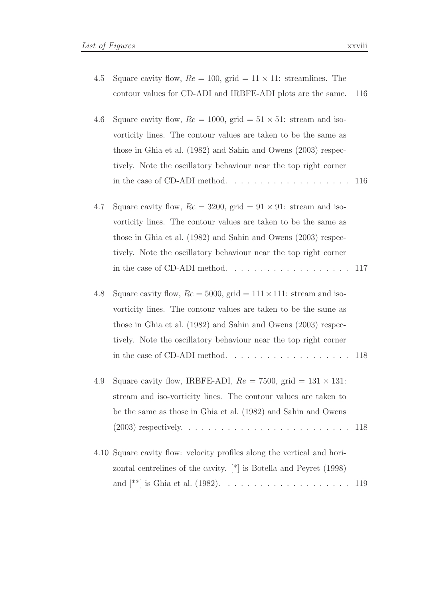4.5 Square cavity flow,  $Re = 100$ , grid  $= 11 \times 11$ : streamlines. The contour values for CD-ADI and IRBFE-ADI plots are the same. 116

| 4.6 Square cavity flow, $Re = 1000$ , grid = $51 \times 51$ : stream and iso- |
|-------------------------------------------------------------------------------|
| vorticity lines. The contour values are taken to be the same as               |
| those in Ghia et al. (1982) and Sahin and Owens (2003) respec-                |
| tively. Note the oscillatory behaviour near the top right corner              |
|                                                                               |

- 4.7 Square cavity flow,  $Re = 3200$ , grid  $= 91 \times 91$ : stream and isovorticity lines. The contour values are taken to be the same as those in Ghia et al. (1982) and Sahin and Owens (2003) respectively. Note the oscillatory behaviour near the top right corner in the case of CD-ADI method.  $\ldots \ldots \ldots \ldots \ldots \ldots \ldots 117$
- 4.8 Square cavity flow,  $Re = 5000$ , grid  $= 111 \times 111$ : stream and isovorticity lines. The contour values are taken to be the same as those in Ghia et al. (1982) and Sahin and Owens (2003) respectively. Note the oscillatory behaviour near the top right corner in the case of CD-ADI method. . . . . . . . . . . . . . . . . . . 118
- 4.9 Square cavity flow, IRBFE-ADI,  $Re = 7500$ , grid = 131 × 131: stream and iso-vorticity lines. The contour values are taken to be the same as those in Ghia et al. (1982) and Sahin and Owens (2003) respectively. . . . . . . . . . . . . . . . . . . . . . . . . . 118
- 4.10 Square cavity flow: velocity profiles along the vertical and horizontal centrelines of the cavity. [\*] is Botella and Peyret (1998) and [\*\*] is Ghia et al. (1982). . . . . . . . . . . . . . . . . . . . 119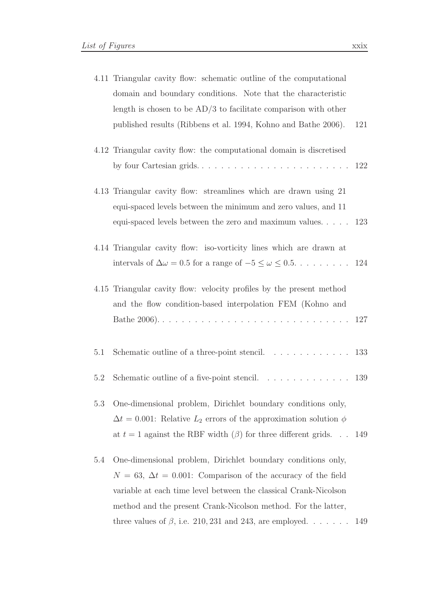|     | 4.11 Triangular cavity flow: schematic outline of the computational<br>domain and boundary conditions. Note that the characteristic                                                                         |     |
|-----|-------------------------------------------------------------------------------------------------------------------------------------------------------------------------------------------------------------|-----|
|     |                                                                                                                                                                                                             |     |
|     | length is chosen to be $AD/3$ to facilitate comparison with other                                                                                                                                           |     |
|     | published results (Ribbens et al. 1994, Kohno and Bathe 2006).                                                                                                                                              | 121 |
|     | 4.12 Triangular cavity flow: the computational domain is discretised<br>by four Cartesian grids                                                                                                             | 122 |
|     | 4.13 Triangular cavity flow: streamlines which are drawn using 21<br>equi-spaced levels between the minimum and zero values, and 11<br>equi-spaced levels between the zero and maximum values. $\ldots$ 123 |     |
|     |                                                                                                                                                                                                             |     |
|     | 4.14 Triangular cavity flow: iso-vorticity lines which are drawn at                                                                                                                                         |     |
|     | intervals of $\Delta \omega = 0.5$ for a range of $-5 \leq \omega \leq 0.5$ 124                                                                                                                             |     |
|     |                                                                                                                                                                                                             |     |
|     | 4.15 Triangular cavity flow: velocity profiles by the present method                                                                                                                                        |     |
|     | and the flow condition-based interpolation FEM (Kohno and                                                                                                                                                   |     |
|     |                                                                                                                                                                                                             |     |
|     |                                                                                                                                                                                                             |     |
| 5.1 | Schematic outline of a three-point stencil. $\ldots \ldots \ldots \ldots$                                                                                                                                   | 133 |
| 5.2 | Schematic outline of a five-point stencil. $\ldots \ldots \ldots \ldots \ldots$ 139                                                                                                                         |     |
|     |                                                                                                                                                                                                             |     |
| 5.3 | One-dimensional problem, Dirichlet boundary conditions only,                                                                                                                                                |     |
|     | $\Delta t = 0.001$ : Relative $L_2$ errors of the approximation solution $\phi$                                                                                                                             |     |
|     | at $t = 1$ against the RBF width $(\beta)$ for three different grids                                                                                                                                        | 149 |
| 5.4 | One-dimensional problem, Dirichlet boundary conditions only,                                                                                                                                                |     |
|     | $N = 63$ , $\Delta t = 0.001$ : Comparison of the accuracy of the field                                                                                                                                     |     |
|     | variable at each time level between the classical Crank-Nicolson                                                                                                                                            |     |
|     | method and the present Crank-Nicolson method. For the latter,                                                                                                                                               |     |

three values of  $\beta$ , i.e. 210, 231 and 243, are employed. . . . . . . 149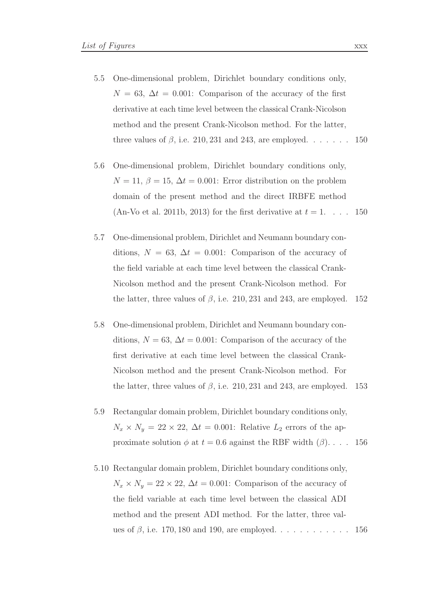- 5.5 One-dimensional problem, Dirichlet boundary conditions only,  $N = 63$ ,  $\Delta t = 0.001$ : Comparison of the accuracy of the first derivative at each time level between the classical Crank-Nicolson method and the present Crank-Nicolson method. For the latter, three values of  $\beta$ , i.e. 210, 231 and 243, are employed. . . . . . . . 150
- 5.6 One-dimensional problem, Dirichlet boundary conditions only,  $N = 11, \beta = 15, \Delta t = 0.001$ : Error distribution on the problem domain of the present method and the direct IRBFE method (An-Vo et al. 2011b, 2013) for the first derivative at  $t = 1$ .... 150
- 5.7 One-dimensional problem, Dirichlet and Neumann boundary conditions,  $N = 63$ ,  $\Delta t = 0.001$ : Comparison of the accuracy of the field variable at each time level between the classical Crank-Nicolson method and the present Crank-Nicolson method. For the latter, three values of  $\beta$ , i.e. 210, 231 and 243, are employed. 152
- 5.8 One-dimensional problem, Dirichlet and Neumann boundary conditions,  $N = 63$ ,  $\Delta t = 0.001$ : Comparison of the accuracy of the first derivative at each time level between the classical Crank-Nicolson method and the present Crank-Nicolson method. For the latter, three values of  $\beta$ , i.e. 210, 231 and 243, are employed. 153
- 5.9 Rectangular domain problem, Dirichlet boundary conditions only,  $N_x \times N_y = 22 \times 22$ ,  $\Delta t = 0.001$ : Relative  $L_2$  errors of the approximate solution  $\phi$  at  $t = 0.6$  against the RBF width  $(\beta)$ .... 156
- 5.10 Rectangular domain problem, Dirichlet boundary conditions only,  $N_x \times N_y = 22 \times 22$ ,  $\Delta t = 0.001$ : Comparison of the accuracy of the field variable at each time level between the classical ADI method and the present ADI method. For the latter, three values of  $\beta$ , i.e. 170, 180 and 190, are employed. . . . . . . . . . . . 156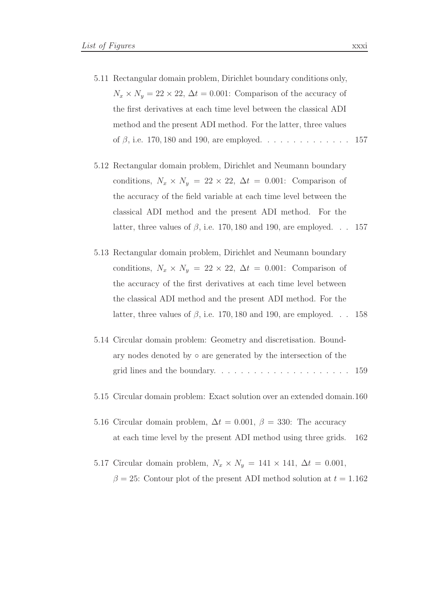- 5.11 Rectangular domain problem, Dirichlet boundary conditions only,  $N_x \times N_y = 22 \times 22$ ,  $\Delta t = 0.001$ : Comparison of the accuracy of the first derivatives at each time level between the classical ADI method and the present ADI method. For the latter, three values of  $\beta$ , i.e. 170, 180 and 190, are employed. . . . . . . . . . . . . . 157
- 5.12 Rectangular domain problem, Dirichlet and Neumann boundary conditions,  $N_x \times N_y = 22 \times 22$ ,  $\Delta t = 0.001$ : Comparison of the accuracy of the field variable at each time level between the classical ADI method and the present ADI method. For the latter, three values of  $\beta$ , i.e. 170, 180 and 190, are employed. . . 157
- 5.13 Rectangular domain problem, Dirichlet and Neumann boundary conditions,  $N_x \times N_y = 22 \times 22$ ,  $\Delta t = 0.001$ : Comparison of the accuracy of the first derivatives at each time level between the classical ADI method and the present ADI method. For the latter, three values of  $\beta$ , i.e. 170, 180 and 190, are employed. . . 158
- 5.14 Circular domain problem: Geometry and discretisation. Boundary nodes denoted by ◦ are generated by the intersection of the grid lines and the boundary. . . . . . . . . . . . . . . . . . . . . 159
- 5.15 Circular domain problem: Exact solution over an extended domain.160
- 5.16 Circular domain problem,  $\Delta t = 0.001$ ,  $\beta = 330$ : The accuracy at each time level by the present ADI method using three grids. 162
- 5.17 Circular domain problem,  $N_x \times N_y = 141 \times 141$ ,  $\Delta t = 0.001$ ,  $\beta = 25$ : Contour plot of the present ADI method solution at  $t = 1.162$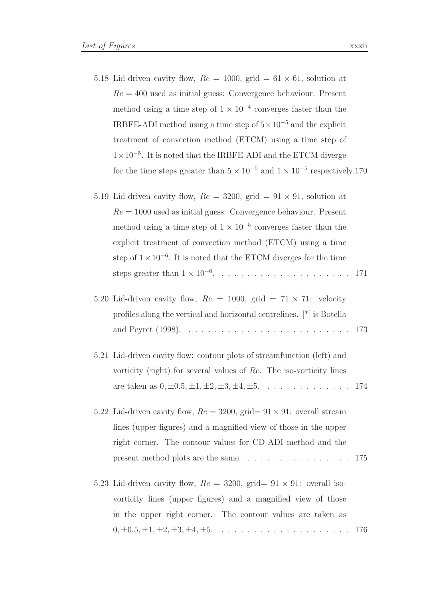- 5.18 Lid-driven cavity flow,  $Re = 1000$ , grid  $= 61 \times 61$ , solution at  $Re = 400$  used as initial guess: Convergence behaviour. Present method using a time step of  $1 \times 10^{-4}$  converges faster than the IRBFE-ADI method using a time step of  $5 \times 10^{-5}$  and the explicit treatment of convection method (ETCM) using a time step of  $1 \times 10^{-5}$ . It is noted that the IRBFE-ADI and the ETCM diverge for the time steps greater than  $5 \times 10^{-5}$  and  $1 \times 10^{-5}$  respectively.170
- 5.19 Lid-driven cavity flow,  $Re = 3200$ , grid  $= 91 \times 91$ , solution at  $Re = 1000$  used as initial guess: Convergence behaviour. Present method using a time step of  $1 \times 10^{-5}$  converges faster than the explicit treatment of convection method (ETCM) using a time step of  $1 \times 10^{-6}$ . It is noted that the ETCM diverges for the time steps greater than 1 × 10−<sup>6</sup> . . . . . . . . . . . . . . . . . . . . . 171
- 5.20 Lid-driven cavity flow,  $Re = 1000$ , grid =  $71 \times 71$ : velocity profiles along the vertical and horizontal centrelines. [\*] is Botella and Peyret (1998). . . . . . . . . . . . . . . . . . . . . . . . . . 173
- 5.21 Lid-driven cavity flow: contour plots of streamfunction (left) and vorticity (right) for several values of Re. The iso-vorticity lines are taken as  $0, \pm 0.5, \pm 1, \pm 2, \pm 3, \pm 4, \pm 5.$  . . . . . . . . . . . . . 174
- 5.22 Lid-driven cavity flow,  $Re = 3200$ , grid=  $91 \times 91$ : overall stream lines (upper figures) and a magnified view of those in the upper right corner. The contour values for CD-ADI method and the present method plots are the same. . . . . . . . . . . . . . . . . 175
- 5.23 Lid-driven cavity flow,  $Re = 3200$ , grid=  $91 \times 91$ : overall isovorticity lines (upper figures) and a magnified view of those in the upper right corner. The contour values are taken as 0, ±0.5, ±1, ±2, ±3, ±4, ±5. . . . . . . . . . . . . . . . . . . . . 176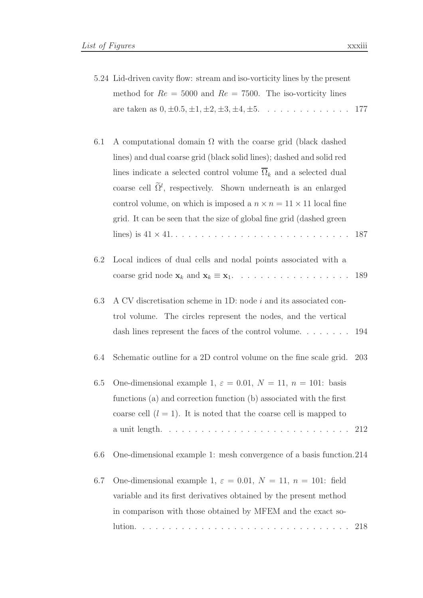- 5.24 Lid-driven cavity flow: stream and iso-vorticity lines by the present method for  $Re = 5000$  and  $Re = 7500$ . The iso-vorticity lines are taken as  $0, \pm 0.5, \pm 1, \pm 2, \pm 3, \pm 4, \pm 5.$  . . . . . . . . . . . . . 177
- 6.1 A computational domain  $\Omega$  with the coarse grid (black dashed lines) and dual coarse grid (black solid lines); dashed and solid red lines indicate a selected control volume  $\overline{\Omega}_k$  and a selected dual coarse cell  $\Omega^l$ , respectively. Shown underneath is an enlarged control volume, on which is imposed a  $n \times n = 11 \times 11$  local fine grid. It can be seen that the size of global fine grid (dashed green lines) is 41 × 41. . . . . . . . . . . . . . . . . . . . . . . . . . . . 187
- 6.2 Local indices of dual cells and nodal points associated with a coarse grid node  $\mathbf{x}_k$  and  $\mathbf{x}_k \equiv \mathbf{x}_1$ . . . . . . . . . . . . . . . . . . 189

### 6.3 A CV discretisation scheme in 1D: node i and its associated control volume. The circles represent the nodes, and the vertical dash lines represent the faces of the control volume. . . . . . . . 194

- 6.4 Schematic outline for a 2D control volume on the fine scale grid. 203
- 6.5 One-dimensional example 1,  $\varepsilon = 0.01$ ,  $N = 11$ ,  $n = 101$ : basis functions (a) and correction function (b) associated with the first coarse cell  $(l = 1)$ . It is noted that the coarse cell is mapped to a unit length. . . . . . . . . . . . . . . . . . . . . . . . . . . . . 212

6.6 One-dimensional example 1: mesh convergence of a basis function.214

6.7 One-dimensional example 1,  $\varepsilon = 0.01$ ,  $N = 11$ ,  $n = 101$ : field variable and its first derivatives obtained by the present method in comparison with those obtained by MFEM and the exact solution. . . . . . . . . . . . . . . . . . . . . . . . . . . . . . . . . 218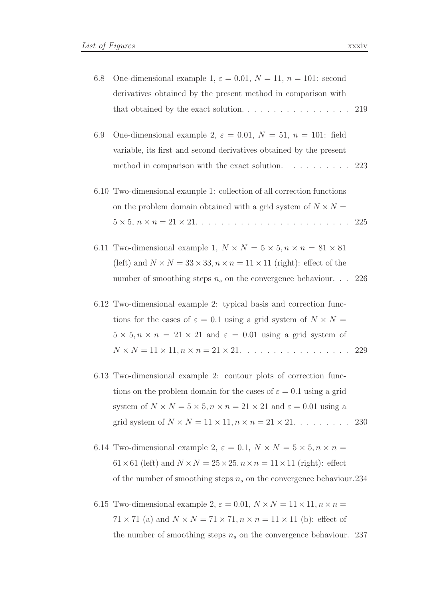- 6.8 One-dimensional example 1,  $\varepsilon = 0.01$ ,  $N = 11$ ,  $n = 101$ : second derivatives obtained by the present method in comparison with that obtained by the exact solution.  $\dots \dots \dots \dots \dots \dots \dots$  219 6.9 One-dimensional example 2,  $\varepsilon = 0.01$ ,  $N = 51$ ,  $n = 101$ : field variable, its first and second derivatives obtained by the present method in comparison with the exact solution. . . . . . . . . 223 6.10 Two-dimensional example 1: collection of all correction functions on the problem domain obtained with a grid system of  $N \times N =$ 5 × 5, n × n = 21 × 21. . . . . . . . . . . . . . . . . . . . . . . . 225 6.11 Two-dimensional example 1,  $N \times N = 5 \times 5, n \times n = 81 \times 81$ (left) and  $N \times N = 33 \times 33$ ,  $n \times n = 11 \times 11$  (right): effect of the number of smoothing steps  $n_s$  on the convergence behaviour. . . 226 6.12 Two-dimensional example 2: typical basis and correction functions for the cases of  $\varepsilon = 0.1$  using a grid system of  $N \times N =$  $5 \times 5, n \times n = 21 \times 21$  and  $\varepsilon = 0.01$  using a grid system of  $N \times N = 11 \times 11, n \times n = 21 \times 21.$  . . . . . . . . . . . . . . . . 229 6.13 Two-dimensional example 2: contour plots of correction functions on the problem domain for the cases of  $\varepsilon = 0.1$  using a grid system of  $N \times N = 5 \times 5$ ,  $n \times n = 21 \times 21$  and  $\varepsilon = 0.01$  using a grid system of  $N \times N = 11 \times 11$ ,  $n \times n = 21 \times 21$ . . . . . . . . . 230
	- 6.14 Two-dimensional example 2,  $\varepsilon = 0.1$ ,  $N \times N = 5 \times 5$ ,  $n \times n =$  $61 \times 61$  (left) and  $N \times N = 25 \times 25$ ,  $n \times n = 11 \times 11$  (right): effect of the number of smoothing steps  $n_s$  on the convergence behaviour. 234
	- 6.15 Two-dimensional example 2,  $\varepsilon = 0.01$ ,  $N \times N = 11 \times 11$ ,  $n \times n =$  $71 \times 71$  (a) and  $N \times N = 71 \times 71$ ,  $n \times n = 11 \times 11$  (b): effect of the number of smoothing steps  $n_s$  on the convergence behaviour. 237